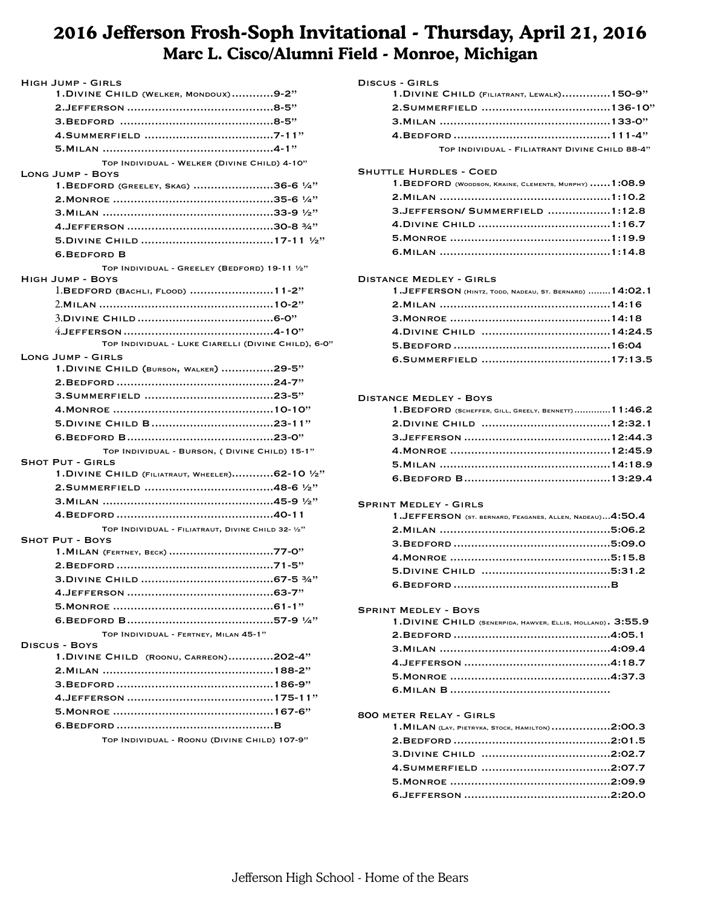## **2016 Jefferson Frosh-Soph Invitational - Thursday, April 21, 2016 Marc L. Cisco/Alumni Field - Monroe, Michigan**

| <b>HIGH JUMP - GIRLS</b>                                                 |
|--------------------------------------------------------------------------|
| 1. DIVINE CHILD (WELKER, MONDOUX)9-2"                                    |
|                                                                          |
|                                                                          |
|                                                                          |
|                                                                          |
| TOP INDIVIDUAL - WELKER (DIVINE CHILD) 4-10"<br><b>LONG JUMP - BOYS</b>  |
| 1.BEDFORD (GREELEY, SKAG) 36-6 1/4"                                      |
|                                                                          |
|                                                                          |
|                                                                          |
|                                                                          |
|                                                                          |
| 6.BEDFORD B                                                              |
| TOP INDIVIDUAL - GREELEY (BEDFORD) 19-11 1/2"<br><b>HIGH JUMP - BOYS</b> |
| 1. BEDFORD (BACHLI, FLOOD)  11-2"                                        |
|                                                                          |
|                                                                          |
|                                                                          |
| TOP INDIVIDUAL - LUKE CIARELLI (DIVINE CHILD), 6-0"                      |
| <b>LONG JUMP - GIRLS</b>                                                 |
| 1. DIVINE CHILD (BURSON, WALKER) 29-5"                                   |
|                                                                          |
|                                                                          |
|                                                                          |
|                                                                          |
|                                                                          |
| TOP INDIVIDUAL - BURSON, (DIVINE CHILD) 15-1"                            |
| <b>SHOT PUT - GIRLS</b>                                                  |
| <b>1. DIVINE CHILD</b> (FILIATRAUT, WHEELER)62-10 $1/2$ "                |
| 2.SUMMERFIELD 48-6 1/2"                                                  |
|                                                                          |
|                                                                          |
| TOP INDIVIDUAL - FILIATRAUT, DIVINE CHILD 32- 1/2"                       |
| <b>SHOT PUT - BOYS</b>                                                   |
| 1. MILAN (FERTNEY, BECK) 77-0"                                           |
|                                                                          |
|                                                                          |
|                                                                          |
|                                                                          |
|                                                                          |
| TOP INDIVIDUAL - FERTNEY, MILAN 45-1"                                    |
| DISCUS - BOYS                                                            |
| 1. DIVINE CHILD (ROONU, CARREON)202-4"                                   |
|                                                                          |
|                                                                          |
|                                                                          |
|                                                                          |
|                                                                          |
| TOP INDIVIDUAL - ROONU (DIVINE CHILD) 107-9"                             |

| <b>DISCUS - GIRLS</b> |                                                                                          |  |  |
|-----------------------|------------------------------------------------------------------------------------------|--|--|
|                       | 1. DIVINE CHILD (FILIATRANT, LEWALK)150-9"                                               |  |  |
|                       |                                                                                          |  |  |
|                       |                                                                                          |  |  |
|                       |                                                                                          |  |  |
|                       | TOP INDIVIDUAL - FILIATRANT DIVINE CHILD 88-4"                                           |  |  |
|                       | <b>SHUTTLE HURDLES - COED</b>                                                            |  |  |
|                       | $1.BEDFORD$ (WOODSON, KRAINE, CLEMENTS, MURPHY) $1:08.9$                                 |  |  |
|                       |                                                                                          |  |  |
|                       | 3.JEFFERSON/ SUMMERFIELD 1:12.8                                                          |  |  |
|                       |                                                                                          |  |  |
|                       |                                                                                          |  |  |
|                       |                                                                                          |  |  |
|                       |                                                                                          |  |  |
|                       | <b>DISTANCE MEDLEY - GIRLS</b>                                                           |  |  |
|                       | 1. JEFFERSON (HINTZ, TODD, NADEAU, ST. BERNARD)  14:02.1                                 |  |  |
|                       |                                                                                          |  |  |
|                       |                                                                                          |  |  |
|                       |                                                                                          |  |  |
|                       |                                                                                          |  |  |
|                       |                                                                                          |  |  |
|                       |                                                                                          |  |  |
|                       | <b>DISTANCE MEDLEY - BOYS</b>                                                            |  |  |
|                       | 1.BEDFORD (SCHEFFER, GILL, GREELY, BENNETT)11:46.2                                       |  |  |
|                       |                                                                                          |  |  |
|                       |                                                                                          |  |  |
|                       |                                                                                          |  |  |
|                       |                                                                                          |  |  |
|                       |                                                                                          |  |  |
|                       |                                                                                          |  |  |
|                       | <b>SPRINT MEDLEY - GIRLS</b>                                                             |  |  |
|                       | $1.$ JEFFERSON (st. bernard, Feaganes, Allen, Nadeau) $4:50.4$                           |  |  |
|                       |                                                                                          |  |  |
|                       |                                                                                          |  |  |
|                       |                                                                                          |  |  |
|                       |                                                                                          |  |  |
|                       |                                                                                          |  |  |
|                       |                                                                                          |  |  |
|                       | <b>SPRINT MEDLEY - BOYS</b>                                                              |  |  |
|                       | 1. DIVINE CHILD (SENERPIDA, HAWVER, ELLIS, HOLLAND), 3:55.9                              |  |  |
|                       |                                                                                          |  |  |
|                       |                                                                                          |  |  |
|                       |                                                                                          |  |  |
|                       |                                                                                          |  |  |
|                       |                                                                                          |  |  |
|                       | <b>800 METER RELAY - GIRLS</b>                                                           |  |  |
|                       | $1.$ MILAN (LAY, PIETRYKA, STOCK, HAMILTON) $\ldots\ldots\ldots\ldots\ldots\ldots\ldots$ |  |  |
|                       |                                                                                          |  |  |
|                       |                                                                                          |  |  |
|                       |                                                                                          |  |  |
|                       |                                                                                          |  |  |
|                       |                                                                                          |  |  |
|                       |                                                                                          |  |  |